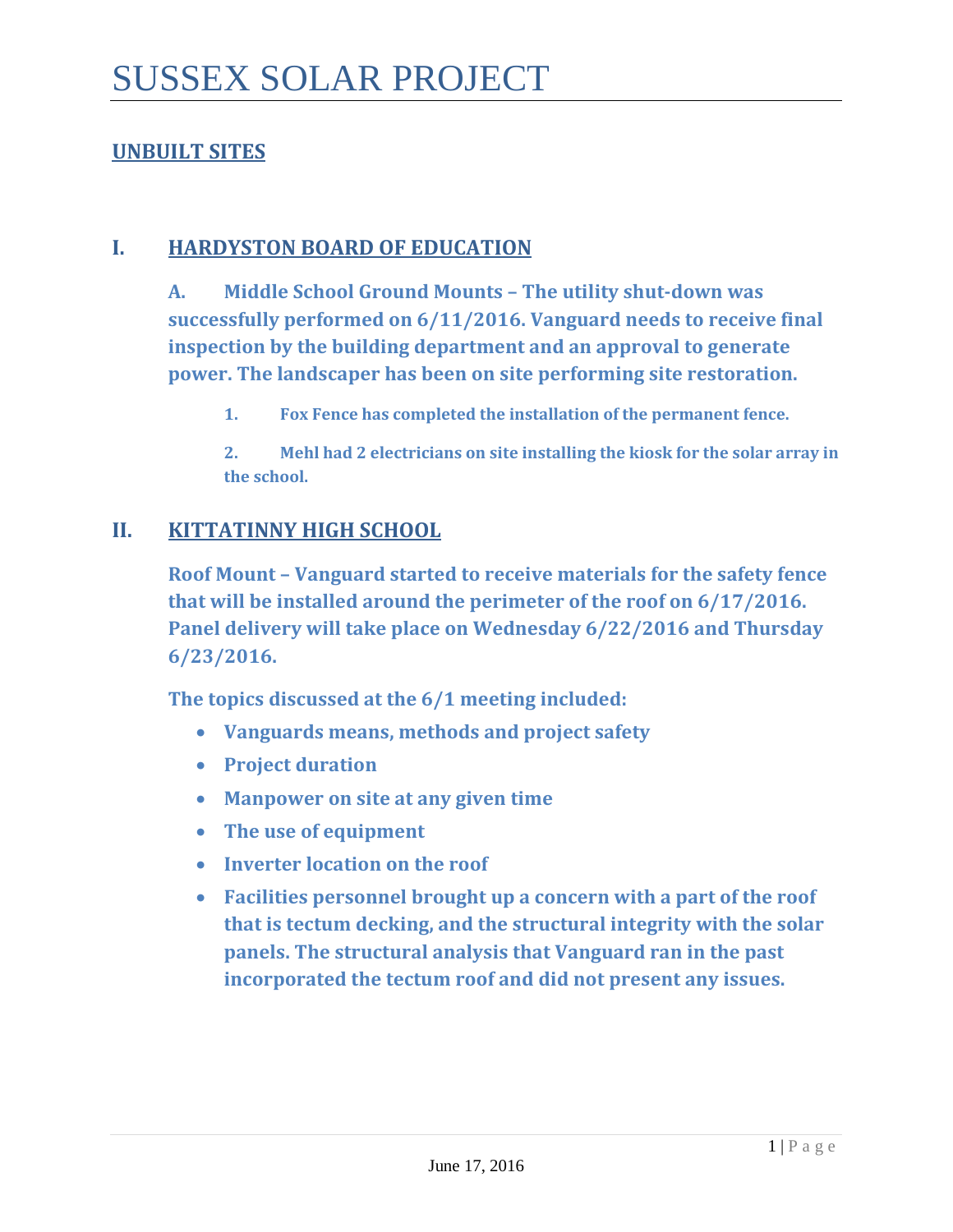### **UNBUILT SITES**

### **I. HARDYSTON BOARD OF EDUCATION**

**A. Middle School Ground Mounts – The utility shut-down was successfully performed on 6/11/2016. Vanguard needs to receive final inspection by the building department and an approval to generate power. The landscaper has been on site performing site restoration.** 

**1. Fox Fence has completed the installation of the permanent fence.** 

**2. Mehl had 2 electricians on site installing the kiosk for the solar array in the school.** 

#### **II. KITTATINNY HIGH SCHOOL**

**Roof Mount – Vanguard started to receive materials for the safety fence that will be installed around the perimeter of the roof on 6/17/2016. Panel delivery will take place on Wednesday 6/22/2016 and Thursday 6/23/2016.** 

**The topics discussed at the 6/1 meeting included:**

- **Vanguards means, methods and project safety**
- **Project duration**
- **Manpower on site at any given time**
- **The use of equipment**
- **Inverter location on the roof**
- **Facilities personnel brought up a concern with a part of the roof that is tectum decking, and the structural integrity with the solar panels. The structural analysis that Vanguard ran in the past incorporated the tectum roof and did not present any issues.**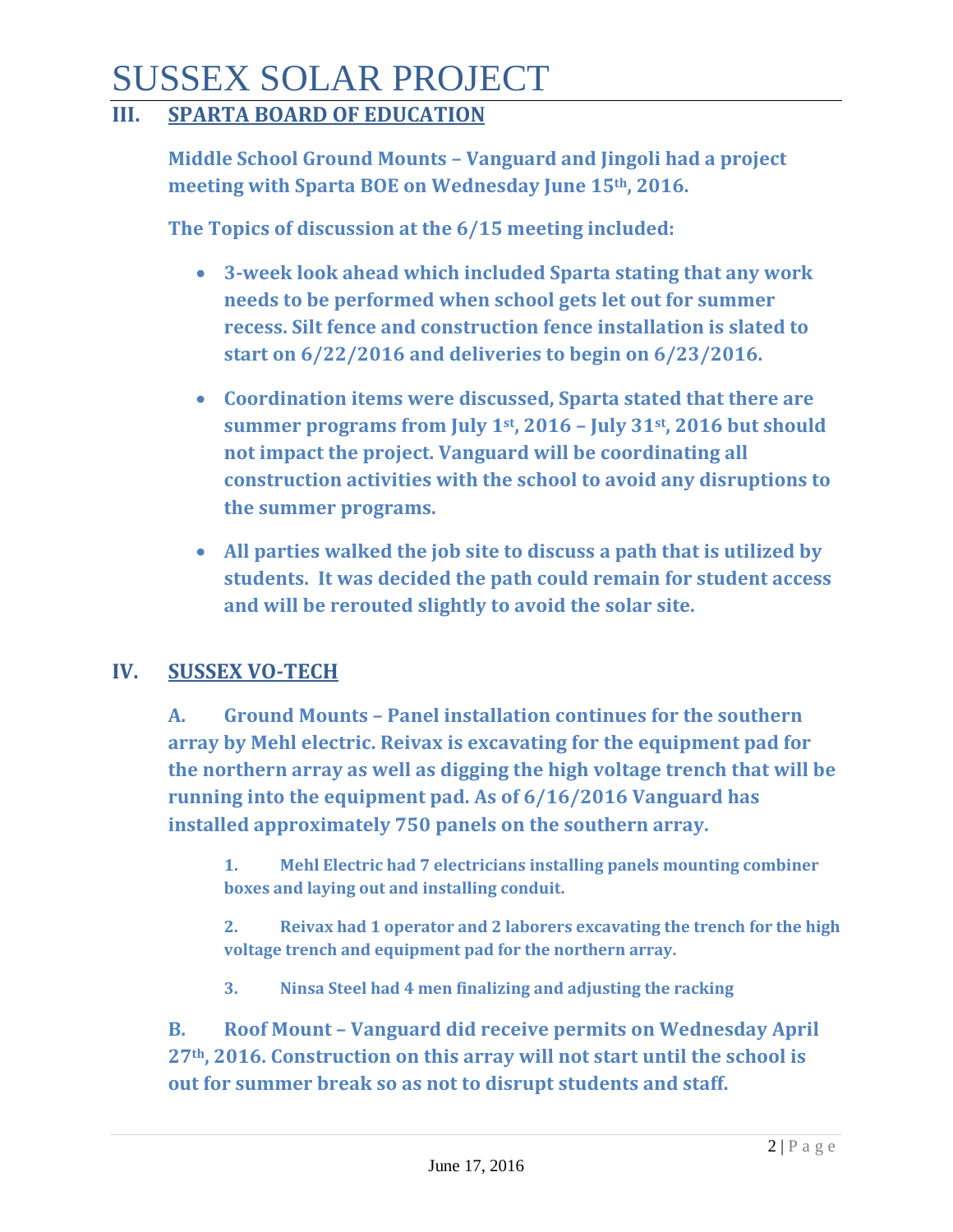# SUSSEX SOLAR PROJECT

### **III. SPARTA BOARD OF EDUCATION**

**Middle School Ground Mounts – Vanguard and Jingoli had a project meeting with Sparta BOE on Wednesday June 15th, 2016.**

**The Topics of discussion at the 6/15 meeting included:** 

- **3-week look ahead which included Sparta stating that any work needs to be performed when school gets let out for summer recess. Silt fence and construction fence installation is slated to start on 6/22/2016 and deliveries to begin on 6/23/2016.**
- **Coordination items were discussed, Sparta stated that there are summer programs from July 1st, 2016 – July 31st, 2016 but should not impact the project. Vanguard will be coordinating all construction activities with the school to avoid any disruptions to the summer programs.**
- **All parties walked the job site to discuss a path that is utilized by students. It was decided the path could remain for student access and will be rerouted slightly to avoid the solar site.**

### **IV. SUSSEX VO-TECH**

**A. Ground Mounts – Panel installation continues for the southern array by Mehl electric. Reivax is excavating for the equipment pad for the northern array as well as digging the high voltage trench that will be running into the equipment pad. As of 6/16/2016 Vanguard has installed approximately 750 panels on the southern array.** 

**1. Mehl Electric had 7 electricians installing panels mounting combiner boxes and laying out and installing conduit.** 

**2. Reivax had 1 operator and 2 laborers excavating the trench for the high voltage trench and equipment pad for the northern array.** 

**3. Ninsa Steel had 4 men finalizing and adjusting the racking**

**B. Roof Mount – Vanguard did receive permits on Wednesday April 27th, 2016. Construction on this array will not start until the school is out for summer break so as not to disrupt students and staff.**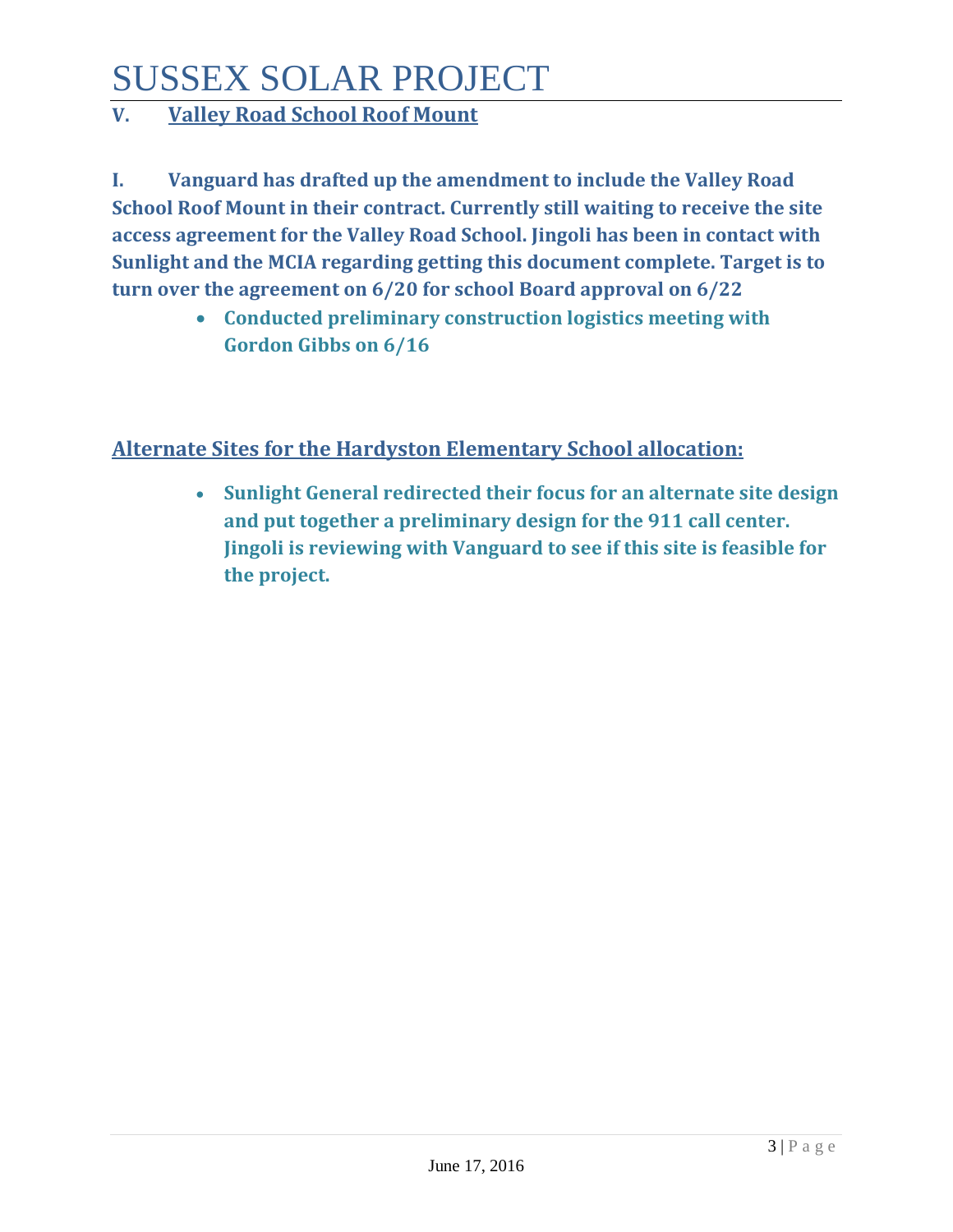# SUSSEX SOLAR PROJECT

## **V. Valley Road School Roof Mount**

**I. Vanguard has drafted up the amendment to include the Valley Road School Roof Mount in their contract. Currently still waiting to receive the site access agreement for the Valley Road School. Jingoli has been in contact with Sunlight and the MCIA regarding getting this document complete. Target is to turn over the agreement on 6/20 for school Board approval on 6/22**

> • **Conducted preliminary construction logistics meeting with Gordon Gibbs on 6/16**

### **Alternate Sites for the Hardyston Elementary School allocation:**

• **Sunlight General redirected their focus for an alternate site design and put together a preliminary design for the 911 call center. Jingoli is reviewing with Vanguard to see if this site is feasible for the project.**